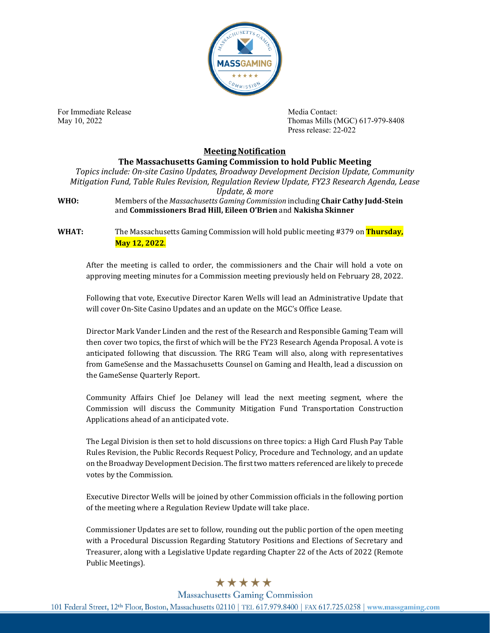

For Immediate Release **Media Contact:** Media Contact:

May 10, 2022 Thomas Mills (MGC) 617-979-8408 Press release: 22-022

## **Meeting Notification**

**The Massachusetts Gaming Commission to hold Public Meeting** *Topics include: On-site Casino Updates, Broadway Development Decision Update, Community Mitigation Fund, Table Rules Revision, Regulation Review Update, FY23 Research Agenda, Lease Update, & more* **WHO:** Members of the *Massachusetts Gaming Commission* including **Chair Cathy Judd-Stein** and **Commissioners Brad Hill, Eileen O'Brien** and **Nakisha Skinner**

**WHAT:** The Massachusetts Gaming Commission will hold public meeting #379 on **Thursday, May 12, 2022**.

After the meeting is called to order, the commissioners and the Chair will hold a vote on approving meeting minutes for a Commission meeting previously held on February 28, 2022.

Following that vote, Executive Director Karen Wells will lead an Administrative Update that will cover On-Site Casino Updates and an update on the MGC's Office Lease.

Director Mark Vander Linden and the rest of the Research and Responsible Gaming Team will then cover two topics, the first of which will be the FY23 Research Agenda Proposal. A vote is anticipated following that discussion. The RRG Team will also, along with representatives from GameSense and the Massachusetts Counsel on Gaming and Health, lead a discussion on the GameSense Quarterly Report.

Community Affairs Chief Joe Delaney will lead the next meeting segment, where the Commission will discuss the Community Mitigation Fund Transportation Construction Applications ahead of an anticipated vote.

The Legal Division is then set to hold discussions on three topics: a High Card Flush Pay Table Rules Revision, the Public Records Request Policy, Procedure and Technology, and an update on the Broadway Development Decision. The first two matters referenced are likely to precede votes by the Commission.

Executive Director Wells will be joined by other Commission officials in the following portion of the meeting where a Regulation Review Update will take place.

Commissioner Updates are set to follow, rounding out the public portion of the open meeting with a Procedural Discussion Regarding Statutory Positions and Elections of Secretary and Treasurer, along with a Legislative Update regarding Chapter 22 of the Acts of 2022 (Remote Public Meetings).

## \*\*\*\*\*

**Massachusetts Gaming Commission** 

101 Federal Street, 12th Floor, Boston, Massachusetts 02110 | TEL 617.979.8400 | FAX 617.725.0258 | www.massgaming.com